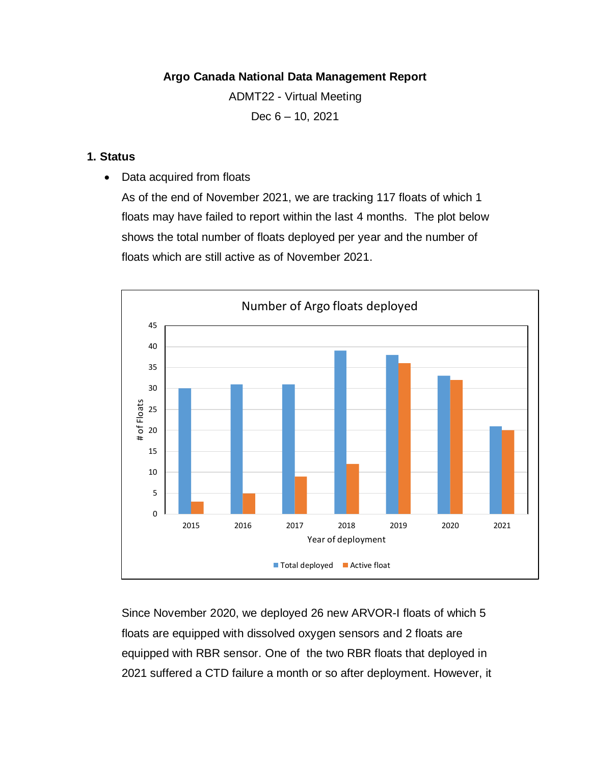### **Argo Canada National Data Management Report**

ADMT22 - Virtual Meeting

Dec 6 – 10, 2021

#### **1. Status**

• Data acquired from floats

As of the end of November 2021, we are tracking 117 floats of which 1 floats may have failed to report within the last 4 months. The plot below shows the total number of floats deployed per year and the number of floats which are still active as of November 2021.



Since November 2020, we deployed 26 new ARVOR-I floats of which 5 floats are equipped with dissolved oxygen sensors and 2 floats are equipped with RBR sensor. One of the two RBR floats that deployed in 2021 suffered a CTD failure a month or so after deployment. However, it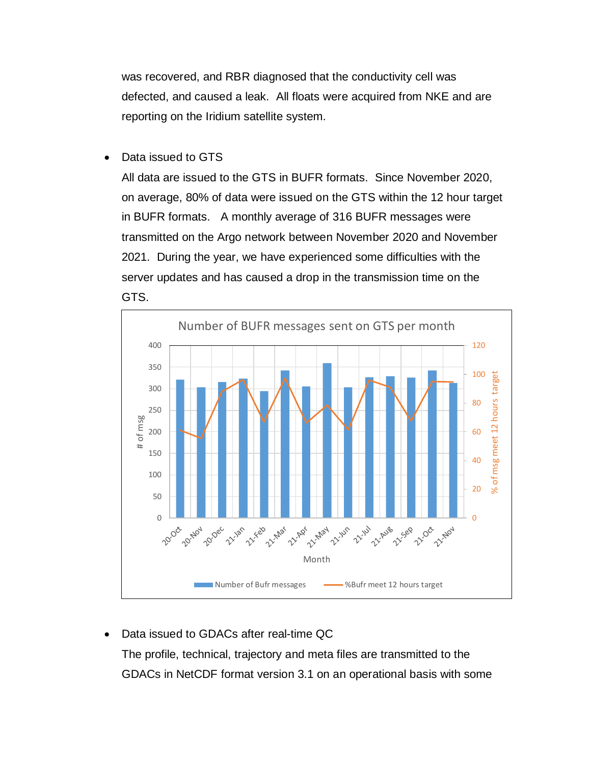was recovered, and RBR diagnosed that the conductivity cell was defected, and caused a leak. All floats were acquired from NKE and are reporting on the Iridium satellite system.

• Data issued to GTS

All data are issued to the GTS in BUFR formats. Since November 2020, on average, 80% of data were issued on the GTS within the 12 hour target in BUFR formats. A monthly average of 316 BUFR messages were transmitted on the Argo network between November 2020 and November 2021. During the year, we have experienced some difficulties with the server updates and has caused a drop in the transmission time on the GTS.



• Data issued to GDACs after real-time QC

The profile, technical, trajectory and meta files are transmitted to the GDACs in NetCDF format version 3.1 on an operational basis with some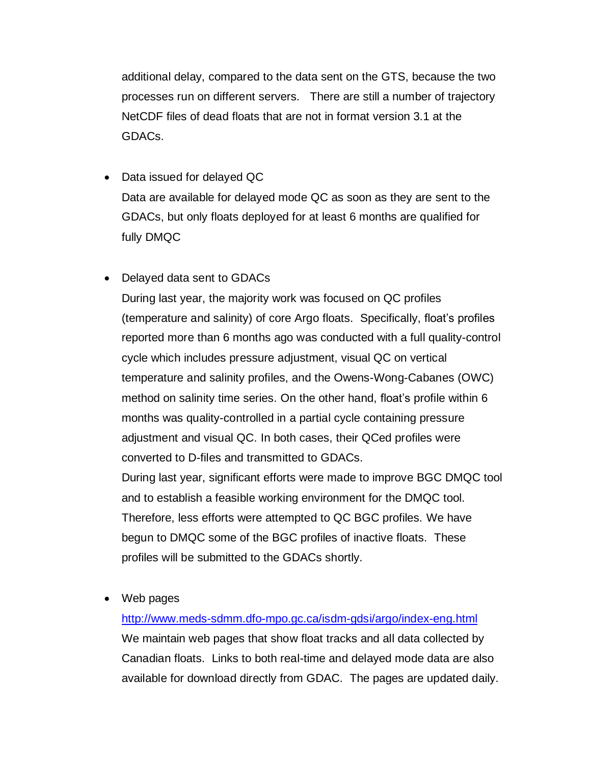additional delay, compared to the data sent on the GTS, because the two processes run on different servers. There are still a number of trajectory NetCDF files of dead floats that are not in format version 3.1 at the GDACs.

- Data issued for delayed QC Data are available for delayed mode QC as soon as they are sent to the GDACs, but only floats deployed for at least 6 months are qualified for fully DMQC
- Delayed data sent to GDACs

During last year, the majority work was focused on QC profiles (temperature and salinity) of core Argo floats. Specifically, float's profiles reported more than 6 months ago was conducted with a full quality-control cycle which includes pressure adjustment, visual QC on vertical temperature and salinity profiles, and the Owens-Wong-Cabanes (OWC) method on salinity time series. On the other hand, float's profile within 6 months was quality-controlled in a partial cycle containing pressure adjustment and visual QC. In both cases, their QCed profiles were converted to D-files and transmitted to GDACs.

During last year, significant efforts were made to improve BGC DMQC tool and to establish a feasible working environment for the DMQC tool. Therefore, less efforts were attempted to QC BGC profiles. We have begun to DMQC some of the BGC profiles of inactive floats. These profiles will be submitted to the GDACs shortly.

• Web pages

<http://www.meds-sdmm.dfo-mpo.gc.ca/isdm-gdsi/argo/index-eng.html> We maintain web pages that show float tracks and all data collected by Canadian floats. Links to both real-time and delayed mode data are also available for download directly from GDAC. The pages are updated daily.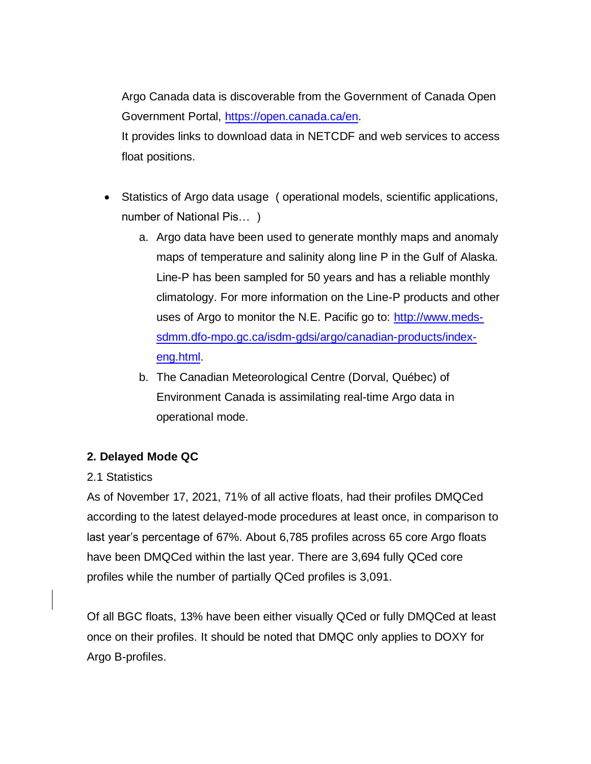Argo Canada data is discoverable from the Government of Canada Open Government Portal, [https://open.canada.ca/en.](https://open.canada.ca/en) It provides links to download data in NETCDF and web services to access float positions.

- Statistics of Argo data usage ( operational models, scientific applications, number of National Pis… )
	- a. Argo data have been used to generate monthly maps and anomaly maps of temperature and salinity along line P in the Gulf of Alaska. Line-P has been sampled for 50 years and has a reliable monthly climatology. For more information on the Line-P products and other uses of Argo to monitor the N.E. Pacific go to: [http://www.meds](http://www.meds-sdmm.dfo-mpo.gc.ca/isdm-gdsi/argo/canadian-products/index-eng.html)[sdmm.dfo-mpo.gc.ca/isdm-gdsi/argo/canadian-products/index](http://www.meds-sdmm.dfo-mpo.gc.ca/isdm-gdsi/argo/canadian-products/index-eng.html)[eng.html.](http://www.meds-sdmm.dfo-mpo.gc.ca/isdm-gdsi/argo/canadian-products/index-eng.html)
	- b. The Canadian Meteorological Centre (Dorval, Québec) of Environment Canada is assimilating real-time Argo data in operational mode.

### **2. Delayed Mode QC**

#### 2.1 Statistics

As of November 17, 2021, 71% of all active floats, had their profiles DMQCed according to the latest delayed-mode procedures at least once, in comparison to last year's percentage of 67%. About 6,785 profiles across 65 core Argo floats have been DMQCed within the last year. There are 3,694 fully QCed core profiles while the number of partially QCed profiles is 3,091.

Of all BGC floats, 13% have been either visually QCed or fully DMQCed at least once on their profiles. It should be noted that DMQC only applies to DOXY for Argo B-profiles.